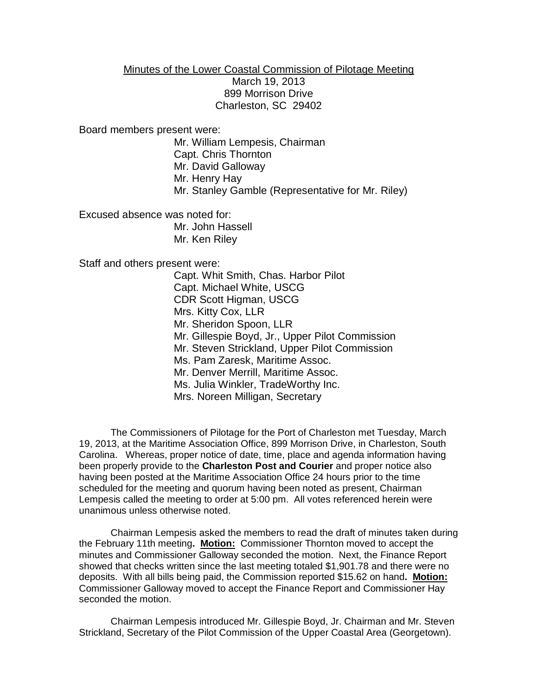## Minutes of the Lower Coastal Commission of Pilotage Meeting March 19, 2013 899 Morrison Drive Charleston, SC 29402

Board members present were:

Mr. William Lempesis, Chairman Capt. Chris Thornton Mr. David Galloway Mr. Henry Hay Mr. Stanley Gamble (Representative for Mr. Riley)

Excused absence was noted for: Mr. John Hassell Mr. Ken Riley

Staff and others present were:

Capt. Whit Smith, Chas. Harbor Pilot Capt. Michael White, USCG CDR Scott Higman, USCG Mrs. Kitty Cox, LLR Mr. Sheridon Spoon, LLR Mr. Gillespie Boyd, Jr., Upper Pilot Commission Mr. Steven Strickland, Upper Pilot Commission Ms. Pam Zaresk, Maritime Assoc. Mr. Denver Merrill, Maritime Assoc. Ms. Julia Winkler, TradeWorthy Inc. Mrs. Noreen Milligan, Secretary

The Commissioners of Pilotage for the Port of Charleston met Tuesday, March 19, 2013, at the Maritime Association Office, 899 Morrison Drive, in Charleston, South Carolina. Whereas, proper notice of date, time, place and agenda information having been properly provide to the **Charleston Post and Courier** and proper notice also having been posted at the Maritime Association Office 24 hours prior to the time scheduled for the meeting and quorum having been noted as present, Chairman Lempesis called the meeting to order at 5:00 pm. All votes referenced herein were unanimous unless otherwise noted.

Chairman Lempesis asked the members to read the draft of minutes taken during the February 11th meeting**. Motion:** Commissioner Thornton moved to accept the minutes and Commissioner Galloway seconded the motion. Next, the Finance Report showed that checks written since the last meeting totaled \$1,901.78 and there were no deposits. With all bills being paid, the Commission reported \$15.62 on hand**. Motion:** Commissioner Galloway moved to accept the Finance Report and Commissioner Hay seconded the motion.

Chairman Lempesis introduced Mr. Gillespie Boyd, Jr. Chairman and Mr. Steven Strickland, Secretary of the Pilot Commission of the Upper Coastal Area (Georgetown).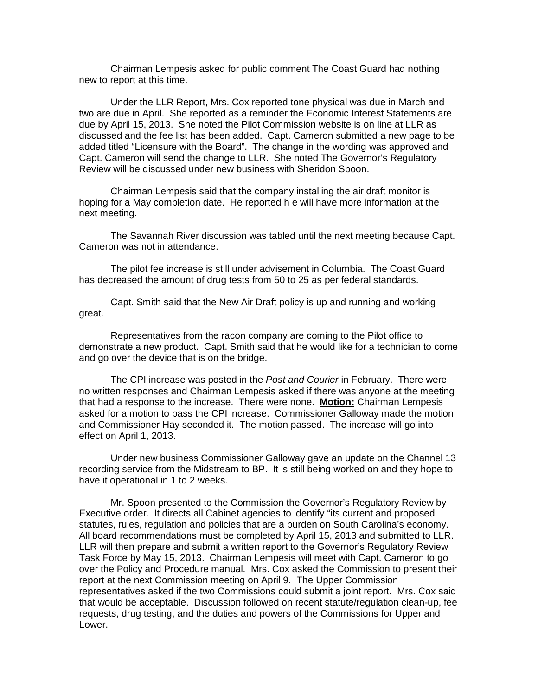Chairman Lempesis asked for public comment The Coast Guard had nothing new to report at this time.

Under the LLR Report, Mrs. Cox reported tone physical was due in March and two are due in April. She reported as a reminder the Economic Interest Statements are due by April 15, 2013. She noted the Pilot Commission website is on line at LLR as discussed and the fee list has been added. Capt. Cameron submitted a new page to be added titled "Licensure with the Board". The change in the wording was approved and Capt. Cameron will send the change to LLR. She noted The Governor's Regulatory Review will be discussed under new business with Sheridon Spoon.

Chairman Lempesis said that the company installing the air draft monitor is hoping for a May completion date. He reported h e will have more information at the next meeting.

The Savannah River discussion was tabled until the next meeting because Capt. Cameron was not in attendance.

The pilot fee increase is still under advisement in Columbia. The Coast Guard has decreased the amount of drug tests from 50 to 25 as per federal standards.

Capt. Smith said that the New Air Draft policy is up and running and working great.

Representatives from the racon company are coming to the Pilot office to demonstrate a new product. Capt. Smith said that he would like for a technician to come and go over the device that is on the bridge.

The CPI increase was posted in the *Post and Courier* in February. There were no written responses and Chairman Lempesis asked if there was anyone at the meeting that had a response to the increase. There were none. **Motion:** Chairman Lempesis asked for a motion to pass the CPI increase. Commissioner Galloway made the motion and Commissioner Hay seconded it. The motion passed. The increase will go into effect on April 1, 2013.

Under new business Commissioner Galloway gave an update on the Channel 13 recording service from the Midstream to BP. It is still being worked on and they hope to have it operational in 1 to 2 weeks.

Mr. Spoon presented to the Commission the Governor's Regulatory Review by Executive order. It directs all Cabinet agencies to identify "its current and proposed statutes, rules, regulation and policies that are a burden on South Carolina's economy. All board recommendations must be completed by April 15, 2013 and submitted to LLR. LLR will then prepare and submit a written report to the Governor's Regulatory Review Task Force by May 15, 2013. Chairman Lempesis will meet with Capt. Cameron to go over the Policy and Procedure manual. Mrs. Cox asked the Commission to present their report at the next Commission meeting on April 9. The Upper Commission representatives asked if the two Commissions could submit a joint report. Mrs. Cox said that would be acceptable. Discussion followed on recent statute/regulation clean-up, fee requests, drug testing, and the duties and powers of the Commissions for Upper and Lower.